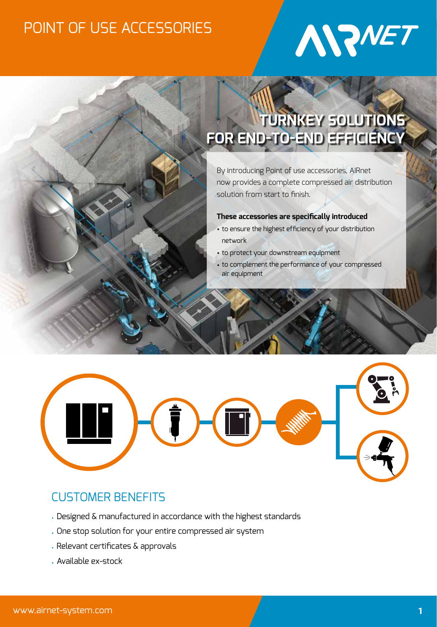

# **TURNKEY SOLUTIONS FOR END-TO-END EFFICIENCY**

By introducing Point of use accessories, AIRnet now provides a complete compressed air distribution solution from start to finish.

### **These accessories are specifically introduced**

- to ensure the highest efficiency of your distribution network
- to protect your downstream equipment
- to complement the performance of your compressed air equipment



# CUSTOMER BENEFITS

- Designed & manufactured in accordance with the highest standards
- One stop solution for your entire compressed air system
- Relevant certificates & approvals
- Available ex-stock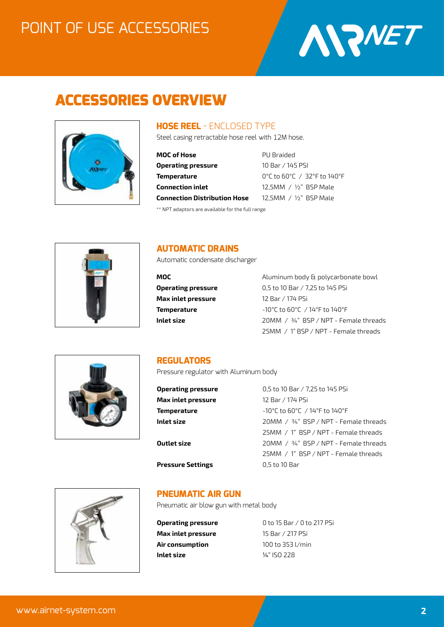

# ACCESSORIES OVERVIEW



### **HOSE REEL** - ENCLOSED TYPE

Steel casing retractable hose reel with 12M hose.

| MOC of Hose                         |
|-------------------------------------|
| Operating pressure                  |
| Temperature                         |
| <b>Connection inlet</b>             |
| <b>Connection Distribution Hose</b> |
|                                     |

**PU Braided Operating pressure** 10 Bar / 145 PSI **Temperature** 0°C to 60°C / 32°F to 140°F 12,5MM / 1/<sub>2</sub>" BSP Male 12,5MM / 1/<sub>2</sub>" BSP Male

\*\* NPT adaptors are available for the full range



### **AUTOMATIC DRAINS**

Automatic condensate discharger

**Max inlet pressure** 12 Bar / 174 PSi

**MOC** Aluminum body & polycarbonate bowl **Operating pressure** 0,5 to 10 Bar / 7,25 to 145 PSi **Temperature**  $-10^{\circ}$ C to 60 $^{\circ}$ C / 14 $^{\circ}$ F to 140 $^{\circ}$ F **Inlet size** 20MM / ¾" BSP / NPT - Female threads 25MM / 1" BSP / NPT - Female threads



### **REGULATORS**

Pressure regulator with Aluminum body

| <b>Operating pressure</b> | 0,5 to 10 Bar / 7,25 to 145 PSi         |
|---------------------------|-----------------------------------------|
| Max inlet pressure        | 12 Bar / 174 PSi                        |
| Temperature               | $-10^{\circ}$ C to 60°C / 14°F to 140°F |
| Inlet size                | 20MM / 34" BSP / NPT - Female threads   |
|                           | 25MM / 1" BSP / NPT - Female threads    |
| Outlet size               | $20MM / 34" BSP / NPT$ - Female threads |
|                           | 25MM / 1" BSP / NPT - Female threads    |
| Pressure Settings         | 0,5 to 10 Bar                           |
|                           |                                         |



### **PNEUMATIC AIR GUN**

Pneumatic air blow gun with metal body

**Max inlet pressure** 15 Bar / 217 PSi **Air consumption** 100 to 353 l/min **Inlet size** ¼" ISO 228

**Operating pressure** 0 to 15 Bar / 0 to 217 PSi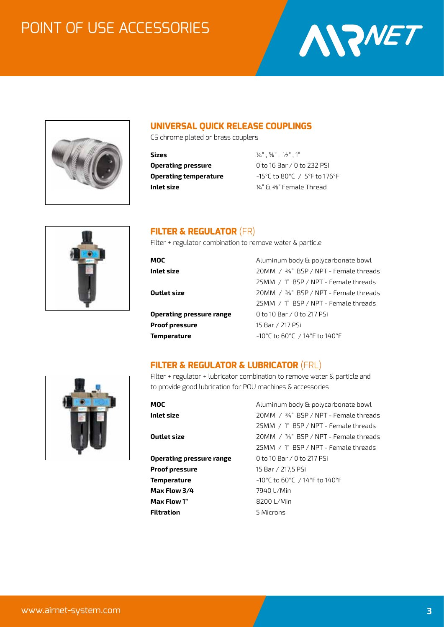



# **UNIVERSAL QUICK RELEASE COUPLINGS**

CS chrome plated or brass couplers

**Sizes** ¼" , 3⁄8" , ½" , 1" **Inlet size**  $\frac{1}{4}$  **E**  $\frac{3}{8}$  Female Thread

**Operating pressure** 0 to 16 Bar / 0 to 232 PSI **Operating temperature** -15°C to 80°C / 5°F to 176°F



# **FILTER & REGULATOR** (FR)

Filter + regulator combination to remove water & particle

| MOC                      | Aluminum body & polycarbonate bowl                                       |
|--------------------------|--------------------------------------------------------------------------|
| Inlet size               | 20MM / 34" BSP / NPT - Female threads                                    |
|                          | 25MM / 1" BSP / NPT - Female threads                                     |
| Outlet size              | $20MM / 34" BSP / NPT$ - Female threads                                  |
|                          | 25MM / 1" BSP / NPT - Female threads                                     |
| Operating pressure range | 0 to 10 Bar / 0 to 217 PSi                                               |
| Proof pressure           | 15 Bar / 217 PSi                                                         |
| Temperature              | $-10^{\circ}$ C to 60 $^{\circ}$ C / 14 $^{\circ}$ F to 140 $^{\circ}$ F |
|                          |                                                                          |

# **FILTER & REGULATOR & LUBRICATOR** (FRL)



Filter + regulator + lubricator combination to remove water & particle and to provide good lubrication for POU machines & accessories

| MOC                      | Aluminum body & polycarbonate bowl    |
|--------------------------|---------------------------------------|
| Inlet size               | 20MM / 34" BSP / NPT - Female threads |
|                          | 25MM / 1" BSP / NPT - Female threads  |
| Outlet size              | 20MM / 34" BSP / NPT - Female threads |
|                          | 25MM / 1" BSP / NPT - Female threads  |
| Operating pressure range | 0 to 10 Bar / 0 to 217 PSi            |
| Proof pressure           | 15 Bar / 217.5 PSi                    |
| Temperature              | -10°C to 60°C / 14°F to 140°F         |
| Max Flow 3/4             | 7940 L/Min                            |
| Max Flow 1"              | 8200 L/Min                            |
| Filtration               | 5 Microns                             |
|                          |                                       |